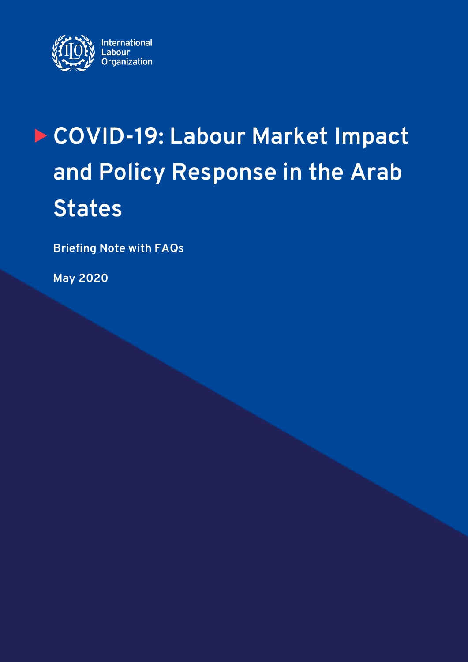

# **COVID-19: Labour Market Impact and Policy Response in the Arab States**

**Briefing Note with FAQs**

**May 2020**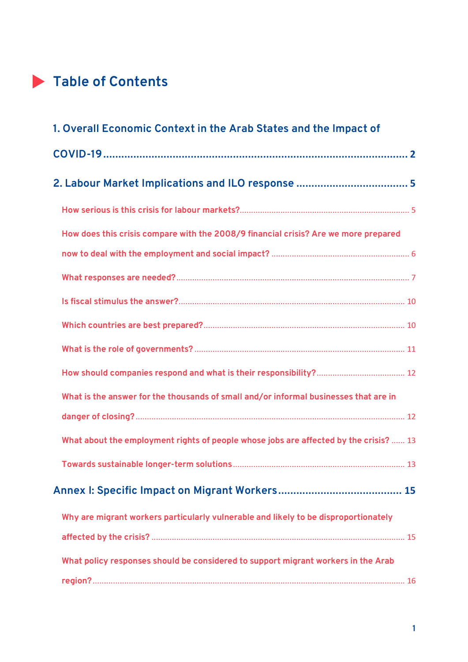# **Table of Contents**

| 1. Overall Economic Context in the Arab States and the Impact of                      |
|---------------------------------------------------------------------------------------|
|                                                                                       |
|                                                                                       |
|                                                                                       |
| How does this crisis compare with the 2008/9 financial crisis? Are we more prepared   |
|                                                                                       |
|                                                                                       |
|                                                                                       |
|                                                                                       |
|                                                                                       |
|                                                                                       |
| What is the answer for the thousands of small and/or informal businesses that are in  |
|                                                                                       |
| What about the employment rights of people whose jobs are affected by the crisis?  13 |
|                                                                                       |
|                                                                                       |
| Why are migrant workers particularly vulnerable and likely to be disproportionately   |
|                                                                                       |
| What policy responses should be considered to support migrant workers in the Arab     |
|                                                                                       |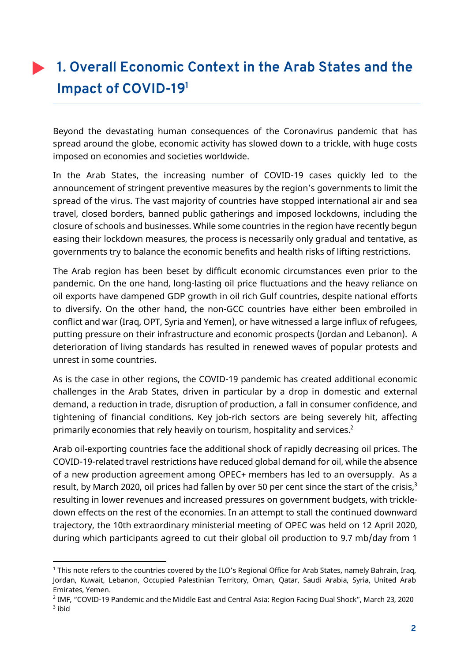# **1. Overall Economic Context in the Arab States and the Impact of COVID-191**

Beyond the devastating human consequences of the Coronavirus pandemic that has spread around the globe, economic activity has slowed down to a trickle, with huge costs imposed on economies and societies worldwide.

In the Arab States, the increasing number of COVID-19 cases quickly led to the announcement of stringent preventive measures by the region's governments to limit the spread of the virus. The vast majority of countries have stopped international air and sea travel, closed borders, banned public gatherings and imposed lockdowns, including the closure of schools and businesses. While some countries in the region have recently begun easing their lockdown measures, the process is necessarily only gradual and tentative, as governments try to balance the economic benefits and health risks of lifting restrictions.

The Arab region has been beset by difficult economic circumstances even prior to the pandemic. On the one hand, long-lasting oil price fluctuations and the heavy reliance on oil exports have dampened GDP growth in oil rich Gulf countries, despite national efforts to diversify. On the other hand, the non-GCC countries have either been embroiled in conflict and war (Iraq, OPT, Syria and Yemen), or have witnessed a large influx of refugees, putting pressure on their infrastructure and economic prospects (Jordan and Lebanon). A deterioration of living standards has resulted in renewed waves of popular protests and unrest in some countries.

As is the case in other regions, the COVID-19 pandemic has created additional economic challenges in the Arab States, driven in particular by a drop in domestic and external demand, a reduction in trade, disruption of production, a fall in consumer confidence, and tightening of financial conditions. Key job-rich sectors are being severely hit, affecting primarily economies that rely heavily on tourism, hospitality and services.<sup>2</sup>

Arab oil-exporting countries face the additional shock of rapidly decreasing oil prices. The COVID-19-related travel restrictions have reduced global demand for oil, while the absence of a new production agreement among OPEC+ members has led to an oversupply. As a result, by March 2020, oil prices had fallen by over 50 per cent since the start of the crisis,<sup>3</sup> resulting in lower revenues and increased pressures on government budgets, with trickledown effects on the rest of the economies. In an attempt to stall the continued downward trajectory, the 10th extraordinary ministerial meeting of OPEC was held on 12 April 2020, during which participants agreed to cut their global oil production to 9.7 mb/day from 1

<sup>1</sup> This note refers to the countries covered by the ILO's Regional Office for Arab States, namely Bahrain, Iraq, Jordan, Kuwait, Lebanon, Occupied Palestinian Territory, Oman, Qatar, Saudi Arabia, Syria, United Arab Emirates, Yemen.

<sup>2</sup> IMF, "COVID-19 Pandemic and the Middle East and Central Asia: Region Facing Dual Shock", March 23, 2020  $3$  ibid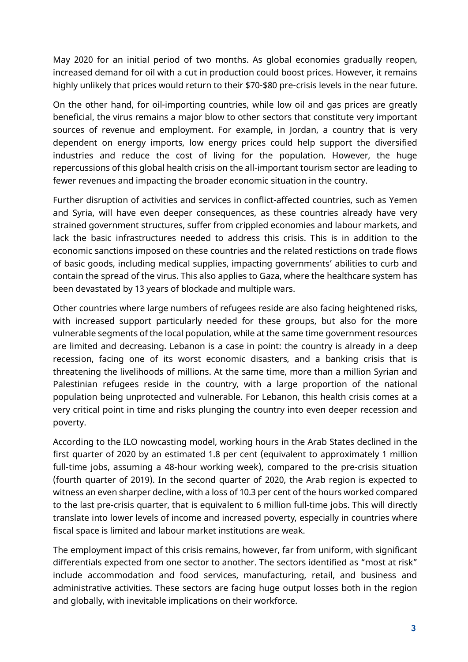May 2020 for an initial period of two months. As global economies gradually reopen, increased demand for oil with a cut in production could boost prices. However, it remains highly unlikely that prices would return to their \$70-\$80 pre-crisis levels in the near future.

On the other hand, for oil-importing countries, while low oil and gas prices are greatly beneficial, the virus remains a major blow to other sectors that constitute very important sources of revenue and employment. For example, in Jordan, a country that is very dependent on energy imports, low energy prices could help support the diversified industries and reduce the cost of living for the population. However, the huge repercussions of this global health crisis on the all-important tourism sector are leading to fewer revenues and impacting the broader economic situation in the country.

Further disruption of activities and services in conflict-affected countries, such as Yemen and Syria, will have even deeper consequences, as these countries already have very strained government structures, suffer from crippled economies and labour markets, and lack the basic infrastructures needed to address this crisis. This is in addition to the economic sanctions imposed on these countries and the related restictions on trade flows of basic goods, including medical supplies, impacting governments' abilities to curb and contain the spread of the virus. This also applies to Gaza, where the healthcare system has been devastated by 13 years of blockade and multiple wars.

Other countries where large numbers of refugees reside are also facing heightened risks, with increased support particularly needed for these groups, but also for the more vulnerable segments of the local population, while at the same time government resources are limited and decreasing. Lebanon is a case in point: the country is already in a deep recession, facing one of its worst economic disasters, and a banking crisis that is threatening the livelihoods of millions. At the same time, more than a million Syrian and Palestinian refugees reside in the country, with a large proportion of the national population being unprotected and vulnerable. For Lebanon, this health crisis comes at a very critical point in time and risks plunging the country into even deeper recession and poverty.

According to the ILO nowcasting model, working hours in the Arab States declined in the first quarter of 2020 by an estimated 1.8 per cent (equivalent to approximately 1 million full-time jobs, assuming a 48-hour working week), compared to the pre-crisis situation (fourth quarter of 2019). In the second quarter of 2020, the Arab region is expected to witness an even sharper decline, with a loss of 10.3 per cent of the hours worked compared to the last pre-crisis quarter, that is equivalent to 6 million full-time jobs. This will directly translate into lower levels of income and increased poverty, especially in countries where fiscal space is limited and labour market institutions are weak.

The employment impact of this crisis remains, however, far from uniform, with significant differentials expected from one sector to another. The sectors identified as "most at risk" include accommodation and food services, manufacturing, retail, and business and administrative activities. These sectors are facing huge output losses both in the region and globally, with inevitable implications on their workforce.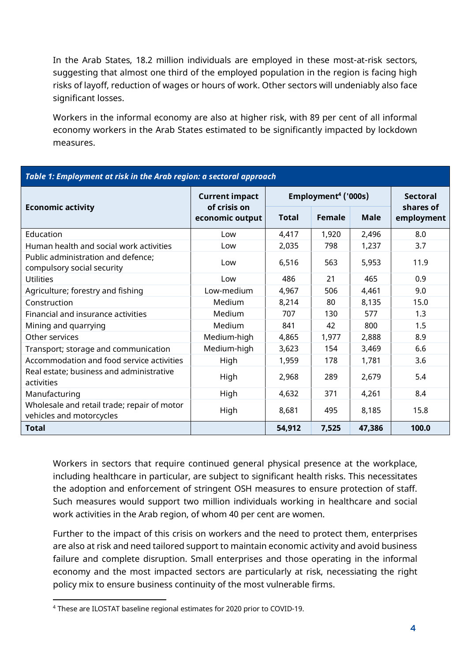In the Arab States, 18.2 million individuals are employed in these most-at-risk sectors, suggesting that almost one third of the employed population in the region is facing high risks of layoff, reduction of wages or hours of work. Other sectors will undeniably also face significant losses.

Workers in the informal economy are also at higher risk, with 89 per cent of all informal economy workers in the Arab States estimated to be significantly impacted by lockdown measures.

| Table 1: Employment at risk in the Arab region: a sectoral approach     |                                                          |                                 |        |             |                         |  |
|-------------------------------------------------------------------------|----------------------------------------------------------|---------------------------------|--------|-------------|-------------------------|--|
| <b>Economic activity</b>                                                | <b>Current impact</b><br>of crisis on<br>economic output | Employment <sup>4</sup> ('000s) |        |             | <b>Sectoral</b>         |  |
|                                                                         |                                                          | <b>Total</b>                    | Female | <b>Male</b> | shares of<br>employment |  |
| Education                                                               | Low                                                      | 4,417                           | 1,920  | 2,496       | 8.0                     |  |
| Human health and social work activities                                 | Low                                                      | 2,035                           | 798    | 1,237       | 3.7                     |  |
| Public administration and defence;<br>compulsory social security        | Low                                                      | 6,516                           | 563    | 5,953       | 11.9                    |  |
| <b>Utilities</b>                                                        | Low                                                      | 486                             | 21     | 465         | 0.9                     |  |
| Agriculture; forestry and fishing                                       | Low-medium                                               | 4,967                           | 506    | 4,461       | 9.0                     |  |
| Construction                                                            | Medium                                                   | 8,214                           | 80     | 8,135       | 15.0                    |  |
| Financial and insurance activities                                      | Medium                                                   | 707                             | 130    | 577         | 1.3                     |  |
| Mining and quarrying                                                    | Medium                                                   | 841                             | 42     | 800         | 1.5                     |  |
| Other services                                                          | Medium-high                                              | 4,865                           | 1,977  | 2,888       | 8.9                     |  |
| Transport; storage and communication                                    | Medium-high                                              | 3,623                           | 154    | 3,469       | 6.6                     |  |
| Accommodation and food service activities                               | High                                                     | 1,959                           | 178    | 1,781       | 3.6                     |  |
| Real estate; business and administrative<br>activities                  | High                                                     | 2,968                           | 289    | 2,679       | 5.4                     |  |
| Manufacturing                                                           | High                                                     | 4,632                           | 371    | 4,261       | 8.4                     |  |
| Wholesale and retail trade; repair of motor<br>vehicles and motorcycles | High                                                     | 8,681                           | 495    | 8,185       | 15.8                    |  |
| <b>Total</b>                                                            |                                                          | 54,912                          | 7,525  | 47,386      | 100.0                   |  |

Workers in sectors that require continued general physical presence at the workplace, including healthcare in particular, are subject to significant health risks. This necessitates the adoption and enforcement of stringent OSH measures to ensure protection of staff. Such measures would support two million individuals working in healthcare and social work activities in the Arab region, of whom 40 per cent are women.

Further to the impact of this crisis on workers and the need to protect them, enterprises are also at risk and need tailored support to maintain economic activity and avoid business failure and complete disruption. Small enterprises and those operating in the informal economy and the most impacted sectors are particularly at risk, necessiating the right policy mix to ensure business continuity of the most vulnerable firms.

<sup>4</sup> These are ILOSTAT baseline regional estimates for 2020 prior to COVID-19.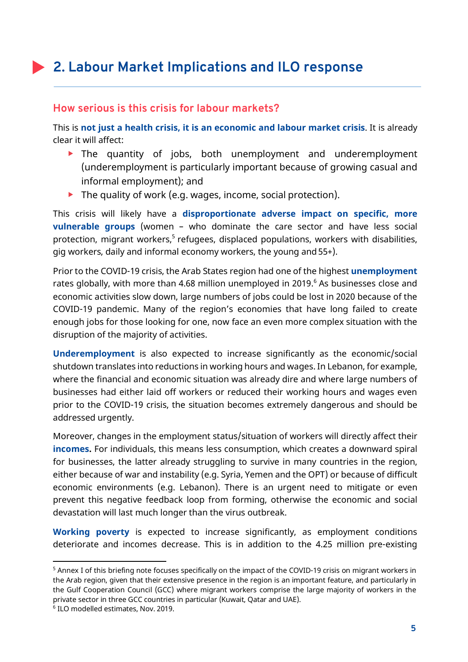# **2. Labour Market Implications and ILO response**

#### **How serious is this crisis for labour markets?**

This is **not just a health crisis, it is an economic and labour market crisis**. It is already clear it will affect:

- **The quantity of jobs, both unemployment and underemployment** (underemployment is particularly important because of growing casual and informal employment); and
- $\blacktriangleright$  The quality of work (e.g. wages, income, social protection).

This crisis will likely have a **disproportionate adverse impact on specific, more vulnerable groups** (women – who dominate the care sector and have less social protection, migrant workers, <sup>5</sup> refugees, displaced populations, workers with disabilities, gig workers, daily and informal economy workers, the young and55+).

Prior to the COVID-19 crisis, the Arab States region had one of the highest **unemployment** rates globally, with more than 4.68 million unemployed in 2019. <sup>6</sup> As businesses close and economic activities slow down, large numbers of jobs could be lost in 2020 because of the COVID-19 pandemic. Many of the region's economies that have long failed to create enough jobs for those looking for one, now face an even more complex situation with the disruption of the majority of activities.

**Underemployment** is also expected to increase significantly as the economic/social shutdown translates into reductions in working hours and wages. In Lebanon, for example, where the financial and economic situation was already dire and where large numbers of businesses had either laid off workers or reduced their working hours and wages even prior to the COVID-19 crisis, the situation becomes extremely dangerous and should be addressed urgently.

Moreover, changes in the employment status/situation of workers will directly affect their **incomes.** For individuals, this means less consumption, which creates a downward spiral for businesses, the latter already struggling to survive in many countries in the region, either because of war and instability (e.g. Syria, Yemen and the OPT) or because of difficult economic environments (e.g. Lebanon). There is an urgent need to mitigate or even prevent this negative feedback loop from forming, otherwise the economic and social devastation will last much longer than the virus outbreak.

**Working poverty** is expected to increase significantly, as employment conditions deteriorate and incomes decrease. This is in addition to the 4.25 million pre-existing

<sup>5</sup> Annex I of this briefing note focuses specifically on the impact of the COVID-19 crisis on migrant workers in the Arab region, given that their extensive presence in the region is an important feature, and particularly in the Gulf Cooperation Council (GCC) where migrant workers comprise the large majority of workers in the private sector in three GCC countries in particular (Kuwait, Qatar and UAE).

<sup>6</sup> ILO modelled estimates, Nov. 2019.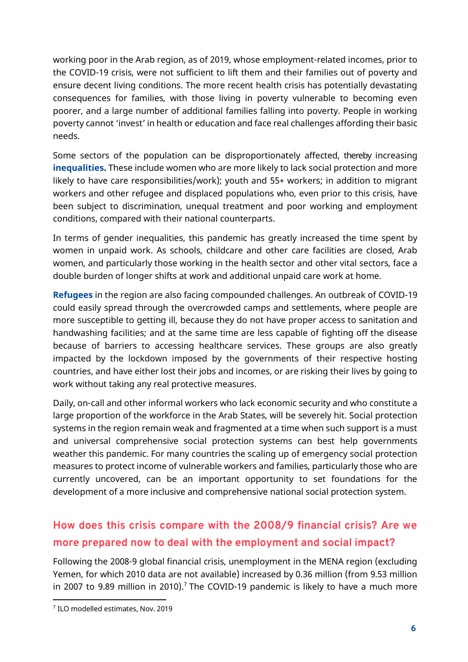working poor in the Arab region, as of 2019, whose employment-related incomes, prior to the COVID-19 crisis, were not sufficient to lift them and their families out of poverty and ensure decent living conditions. The more recent health crisis has potentially devastating consequences for families, with those living in poverty vulnerable to becoming even poorer, and a large number of additional families falling into poverty. People in working poverty cannot 'invest' in health or education and face real challenges affording their basic needs.

Some sectors of the population can be disproportionately affected, thereby increasing **inequalities.** These include women who are more likely to lack social protection and more likely to have care responsibilities/work); youth and 55+ workers; in addition to migrant workers and other refugee and displaced populations who, even prior to this crisis, have been subject to discrimination, unequal treatment and poor working and employment conditions, compared with their national counterparts.

In terms of gender inequalities, this pandemic has greatly increased the time spent by women in unpaid work. As schools, childcare and other care facilities are closed, Arab women, and particularly those working in the health sector and other vital sectors, face a double burden of longer shifts at work and additional unpaid care work at home.

**Refugees** in the region are also facing compounded challenges. An outbreak of COVID-19 could easily spread through the overcrowded camps and settlements, where people are more susceptible to getting ill, because they do not have proper access to sanitation and handwashing facilities; and at the same time are less capable of fighting off the disease because of barriers to accessing healthcare services. These groups are also greatly impacted by the lockdown imposed by the governments of their respective hosting countries, and have either lost their jobs and incomes, or are risking their lives by going to work without taking any real protective measures.

Daily, on-call and other informal workers who lack economic security and who constitute a large proportion of the workforce in the Arab States, will be severely hit. Social protection systems in the region remain weak and fragmented at a time when such support is a must and universal comprehensive social protection systems can best help governments weather this pandemic. For many countries the scaling up of emergency social protection measures to protect income of vulnerable workers and families, particularly those who are currently uncovered, can be an important opportunity to set foundations for the development of a more inclusive and comprehensive national social protection system.

# **How does this crisis compare with the 2008/9 financial crisis? Are we more prepared now to deal with the employment and social impact?**

Following the 2008-9 global financial crisis, unemployment in the MENA region (excluding Yemen, for which 2010 data are not available) increased by 0.36 million (from 9.53 million in 2007 to 9.89 million in 2010).<sup>7</sup> The COVID-19 pandemic is likely to have a much more

<sup>&</sup>lt;sup>7</sup> ILO modelled estimates, Nov. 2019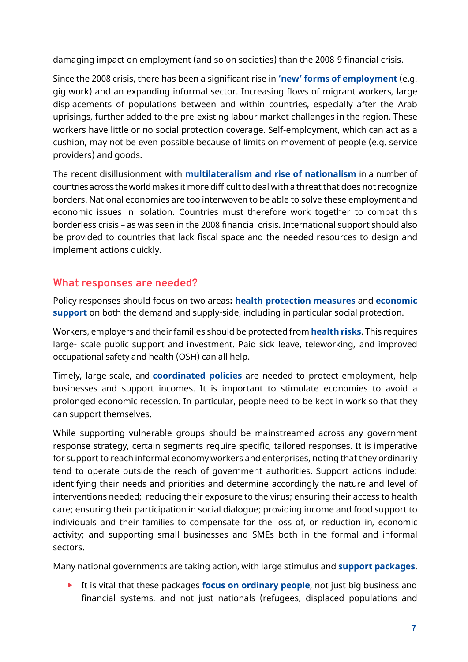damaging impact on employment (and so on societies) than the 2008-9 financial crisis.

Since the 2008 crisis, there has been a significant rise in **'new' forms of employment** (e.g. gig work) and an expanding informal sector. Increasing flows of migrant workers, large displacements of populations between and within countries, especially after the Arab uprisings, further added to the pre-existing labour market challenges in the region. These workers have little or no social protection coverage. Self-employment, which can act as a cushion, may not be even possible because of limits on movement of people (e.g. service providers) and goods.

The recent disillusionment with **multilateralism and rise of nationalism** in a number of countries across the world makes it more difficult to deal with a threat that does not recognize borders. National economies are too interwoven to be able to solve these employment and economic issues in isolation. Countries must therefore work together to combat this borderless crisis – as was seen in the 2008 financial crisis. International support should also be provided to countries that lack fiscal space and the needed resources to design and implement actions quickly.

# **What responses are needed?**

Policy responses should focus on two areas**: health protection measures** and **economic support** on both the demand and supply-side, including in particular social protection.

Workers, employers and their families should be protected from **health risks**. This requires large- scale public support and investment. Paid sick leave, teleworking, and improved occupational safety and health (OSH) can all help.

Timely, large-scale, and **coordinated policies** are needed to protect employment, help businesses and support incomes. It is important to stimulate economies to avoid a prolonged economic recession. In particular, people need to be kept in work so that they can support themselves.

While supporting vulnerable groups should be mainstreamed across any government response strategy, certain segments require specific, tailored responses. It is imperative for support to reach informal economy workers and enterprises, noting that they ordinarily tend to operate outside the reach of government authorities. Support actions include: identifying their needs and priorities and determine accordingly the nature and level of interventions needed; reducing their exposure to the virus; ensuring their access to health care; ensuring their participation in social dialogue; providing income and food support to individuals and their families to compensate for the loss of, or reduction in, economic activity; and supporting small businesses and SMEs both in the formal and informal sectors.

Many national governments are taking action, with large stimulus and **support packages**.

It is vital that these packages **focus on ordinary people**, not just big business and financial systems, and not just nationals (refugees, displaced populations and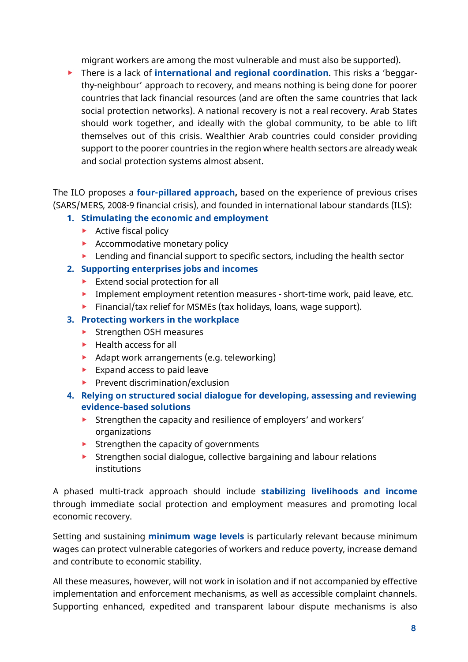migrant workers are among the most vulnerable and must also be supported).

There is a lack of **international and regional coordination**. This risks a 'beggarthy-neighbour' approach to recovery, and means nothing is being done for poorer countries that lack financial resources (and are often the same countries that lack social protection networks). A national recovery is not a real recovery. Arab States should work together, and ideally with the global community, to be able to lift themselves out of this crisis. Wealthier Arab countries could consider providing support to the poorer countries in the region where health sectors are already weak and social protection systems almost absent.

The ILO proposes a **four-pillared approach,** based on the experience of previous crises (SARS/MERS, 2008-9 financial crisis), and founded in international labour standards (ILS):

#### **1. Stimulating the economic and employment**

- Active fiscal policy
- $\blacktriangleright$  Accommodative monetary policy
- **Lending and financial support to specific sectors, including the health sector**

#### **2. Supporting enterprises jobs and incomes**

- $\blacktriangleright$  Extend social protection for all
- **Implement employment retention measures short-time work, paid leave, etc.**
- $\blacktriangleright$  Financial/tax relief for MSMEs (tax holidays, loans, wage support).

## **3. Protecting workers in the workplace**

- ▶ Strengthen OSH measures
- $\blacktriangleright$  Health access for all
- Adapt work arrangements (e.g. teleworking)
- $\blacktriangleright$  Expand access to paid leave
- $\blacktriangleright$  Prevent discrimination/exclusion
- **4. Relying on structured social dialogue for developing, assessing and reviewing evidence-based solutions**
	- **Strengthen the capacity and resilience of employers' and workers'** organizations
	- $\blacktriangleright$  Strengthen the capacity of governments
	- $\triangleright$  Strengthen social dialogue, collective bargaining and labour relations institutions

A phased multi-track approach should include **stabilizing livelihoods and income** through immediate social protection and employment measures and promoting local economic recovery.

Setting and sustaining **minimum wage levels** is particularly relevant because minimum wages can protect vulnerable categories of workers and reduce poverty, increase demand and contribute to economic stability.

All these measures, however, will not work in isolation and if not accompanied by effective implementation and enforcement mechanisms, as well as accessible complaint channels. Supporting enhanced, expedited and transparent labour dispute mechanisms is also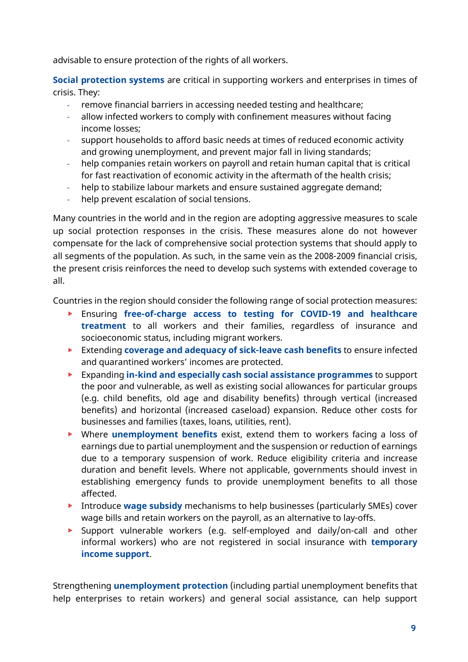advisable to ensure protection of the rights of all workers.

**Social protection systems** are critical in supporting workers and enterprises in times of crisis. They:

- remove financial barriers in accessing needed testing and healthcare;
- allow infected workers to comply with confinement measures without facing income losses;
- support households to afford basic needs at times of reduced economic activity and growing unemployment, and prevent major fall in living standards;
- help companies retain workers on payroll and retain human capital that is critical for fast reactivation of economic activity in the aftermath of the health crisis;
- help to stabilize labour markets and ensure sustained aggregate demand;
- help prevent escalation of social tensions.

Many countries in the world and in the region are adopting aggressive measures to scale up social protection responses in the crisis. These measures alone do not however compensate for the lack of comprehensive social protection systems that should apply to all segments of the population. As such, in the same vein as the 2008-2009 financial crisis, the present crisis reinforces the need to develop such systems with extended coverage to all.

Countries in the region should consider the following range of social protection measures:

- Ensuring **free-of-charge access to testing for COVID-19 and healthcare treatment** to all workers and their families, regardless of insurance and socioeconomic status, including migrant workers.
- Extending **coverage and adequacy of sick-leave cash benefits** to ensure infected and quarantined workers' incomes are protected.
- Expanding **in-kind and especially cash social assistance programmes** to support the poor and vulnerable, as well as existing social allowances for particular groups (e.g. child benefits, old age and disability benefits) through vertical (increased benefits) and horizontal (increased caseload) expansion. Reduce other costs for businesses and families (taxes, loans, utilities, rent).
- Where **unemployment benefits** exist, extend them to workers facing a loss of earnings due to partial unemployment and the suspension or reduction of earnings due to a temporary suspension of work. Reduce eligibility criteria and increase duration and benefit levels. Where not applicable, governments should invest in establishing emergency funds to provide unemployment benefits to all those affected.
- Introduce **wage subsidy** mechanisms to help businesses (particularly SMEs) cover wage bills and retain workers on the payroll, as an alternative to lay-offs.
- Support vulnerable workers (e.g. self-employed and daily/on-call and other informal workers) who are not registered in social insurance with **temporary income support**.

Strengthening **unemployment protection** (including partial unemployment benefits that help enterprises to retain workers) and general social assistance, can help support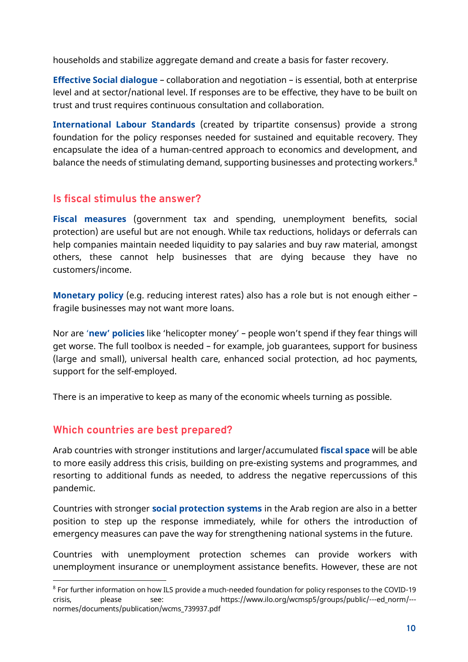households and stabilize aggregate demand and create a basis for faster recovery.

**Effective Social dialogue** – collaboration and negotiation – is essential, both at enterprise level and at sector/national level. If responses are to be effective, they have to be built on trust and trust requires continuous consultation and collaboration.

**International Labour Standards** (created by tripartite consensus) provide a strong foundation for the policy responses needed for sustained and equitable recovery. They encapsulate the idea of a human-centred approach to economics and development, and balance the needs of stimulating demand, supporting businesses and protecting workers.<sup>8</sup>

# **Is fiscal stimulus the answer?**

**Fiscal measures** (government tax and spending, unemployment benefits, social protection) are useful but are not enough. While tax reductions, holidays or deferrals can help companies maintain needed liquidity to pay salaries and buy raw material, amongst others, these cannot help businesses that are dying because they have no customers/income.

**Monetary policy** (e.g. reducing interest rates) also has a role but is not enough either – fragile businesses may not want more loans.

Nor are '**new' policies** like 'helicopter money' – people won't spend if they fear things will get worse. The full toolbox is needed – for example, job guarantees, support for business (large and small), universal health care, enhanced social protection, ad hoc payments, support for the self-employed.

There is an imperative to keep as many of the economic wheels turning as possible.

# **Which countries are best prepared?**

 $\overline{a}$ 

Arab countries with stronger institutions and larger/accumulated **fiscal space** will be able to more easily address this crisis, building on pre-existing systems and programmes, and resorting to additional funds as needed, to address the negative repercussions of this pandemic.

Countries with stronger **social protection systems** in the Arab region are also in a better position to step up the response immediately, while for others the introduction of emergency measures can pave the way for strengthening national systems in the future.

Countries with unemployment protection schemes can provide workers with unemployment insurance or unemployment assistance benefits. However, these are not

<sup>8</sup> For further information on how ILS provide a much-needed foundation for policy responses to the COVID-19 crisis, please see: https://www.ilo.org/wcmsp5/groups/public/---ed\_norm/-- normes/documents/publication/wcms\_739937.pdf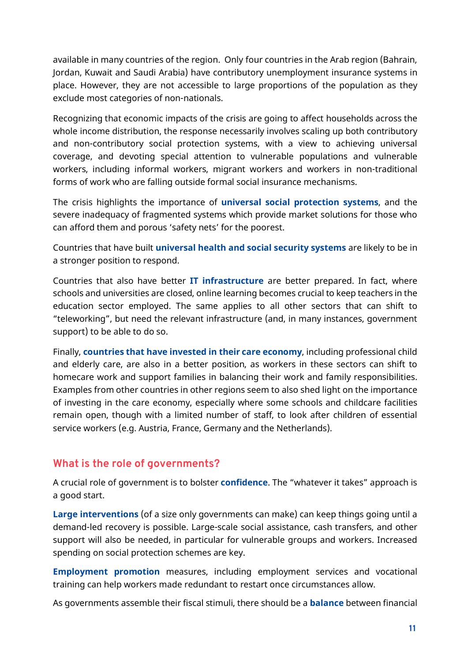available in many countries of the region. Only four countries in the Arab region (Bahrain, Jordan, Kuwait and Saudi Arabia) have contributory unemployment insurance systems in place. However, they are not accessible to large proportions of the population as they exclude most categories of non-nationals.

Recognizing that economic impacts of the crisis are going to affect households across the whole income distribution, the response necessarily involves scaling up both contributory and non-contributory social protection systems, with a view to achieving universal coverage, and devoting special attention to vulnerable populations and vulnerable workers, including informal workers, migrant workers and workers in non-traditional forms of work who are falling outside formal social insurance mechanisms.

The crisis highlights the importance of **universal social protection systems**, and the severe inadequacy of fragmented systems which provide market solutions for those who can afford them and porous 'safety nets' for the poorest.

Countries that have built **universal health and social security systems** are likely to be in a stronger position to respond.

Countries that also have better **IT infrastructure** are better prepared. In fact, where schools and universities are closed, online learning becomes crucial to keep teachers in the education sector employed. The same applies to all other sectors that can shift to "teleworking", but need the relevant infrastructure (and, in many instances, government support) to be able to do so.

Finally, **countries that have invested in their care economy**, including professional child and elderly care, are also in a better position, as workers in these sectors can shift to homecare work and support families in balancing their work and family responsibilities. Examples from other countries in other regions seem to also shed light on the importance of investing in the care economy, especially where some schools and childcare facilities remain open, though with a limited number of staff, to look after children of essential service workers (e.g. Austria, France, Germany and the Netherlands).

# **What is the role of governments?**

A crucial role of government is to bolster **confidence**. The "whatever it takes" approach is a good start.

**Large interventions** (of a size only governments can make) can keep things going until a demand-led recovery is possible. Large-scale social assistance, cash transfers, and other support will also be needed, in particular for vulnerable groups and workers. Increased spending on social protection schemes are key.

**Employment promotion** measures, including employment services and vocational training can help workers made redundant to restart once circumstances allow.

As governments assemble their fiscal stimuli, there should be a **balance** between financial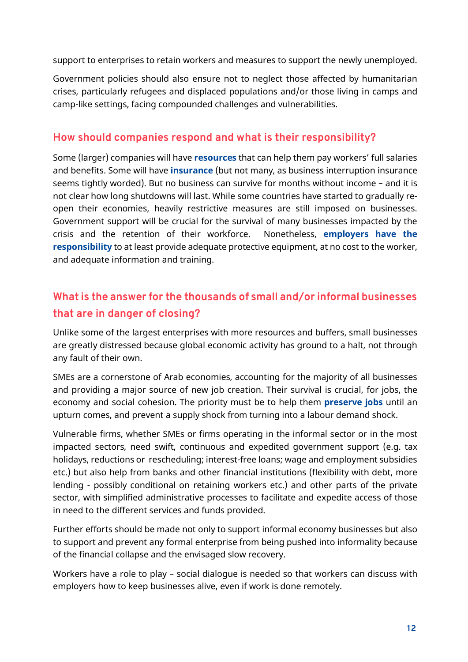support to enterprises to retain workers and measures to support the newly unemployed.

Government policies should also ensure not to neglect those affected by humanitarian crises, particularly refugees and displaced populations and/or those living in camps and camp-like settings, facing compounded challenges and vulnerabilities.

## **How should companies respond and what is their responsibility?**

Some (larger) companies will have **resources** that can help them pay workers' full salaries and benefits. Some will have **insurance** (but not many, as business interruption insurance seems tightly worded). But no business can survive for months without income – and it is not clear how long shutdowns will last. While some countries have started to gradually reopen their economies, heavily restrictive measures are still imposed on businesses. Government support will be crucial for the survival of many businesses impacted by the crisis and the retention of their workforce. Nonetheless, **employers have the responsibility** to at least provide adequate protective equipment, at no cost to the worker, and adequate information and training.

# **What is the answer for the thousands of small and/or informal businesses that are in danger of closing?**

Unlike some of the largest enterprises with more resources and buffers, small businesses are greatly distressed because global economic activity has ground to a halt, not through any fault of their own.

SMEs are a cornerstone of Arab economies, accounting for the majority of all businesses and providing a major source of new job creation. Their survival is crucial, for jobs, the economy and social cohesion. The priority must be to help them **preserve jobs** until an upturn comes, and prevent a supply shock from turning into a labour demand shock.

Vulnerable firms, whether SMEs or firms operating in the informal sector or in the most impacted sectors, need swift, continuous and expedited government support (e.g. tax holidays, reductions or rescheduling; interest-free loans; wage and employment subsidies etc.) but also help from banks and other financial institutions (flexibility with debt, more lending - possibly conditional on retaining workers etc.) and other parts of the private sector, with simplified administrative processes to facilitate and expedite access of those in need to the different services and funds provided.

Further efforts should be made not only to support informal economy businesses but also to support and prevent any formal enterprise from being pushed into informality because of the financial collapse and the envisaged slow recovery.

Workers have a role to play – social dialogue is needed so that workers can discuss with employers how to keep businesses alive, even if work is done remotely.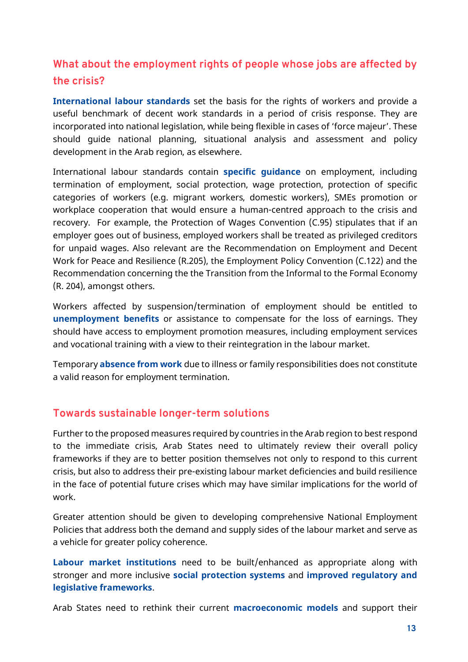# **What about the employment rights of people whose jobs are affected by the crisis?**

**International labour standards** set the basis for the rights of workers and provide a useful benchmark of decent work standards in a period of crisis response. They are incorporated into national legislation, while being flexible in cases of 'force majeur'. These should guide national planning, situational analysis and assessment and policy development in the Arab region, as elsewhere.

International labour standards contain **specific guidance** on employment, including termination of employment, social protection, wage protection, protection of specific categories of workers (e.g. migrant workers, domestic workers), SMEs promotion or workplace cooperation that would ensure a human-centred approach to the crisis and recovery. For example, the Protection of Wages Convention (C.95) stipulates that if an employer goes out of business, employed workers shall be treated as privileged creditors for unpaid wages. Also relevant are the Recommendation on Employment and Decent Work for Peace and Resilience (R.205), the Employment Policy Convention (C.122) and the Recommendation concerning the the Transition from the Informal to the Formal Economy (R. 204), amongst others.

Workers affected by suspension/termination of employment should be entitled to **unemployment benefits** or assistance to compensate for the loss of earnings. They should have access to employment promotion measures, including employment services and vocational training with a view to their reintegration in the labour market.

Temporary **absence from work** due to illness or family responsibilities does not constitute a valid reason for employment termination.

## **Towards sustainable longer-term solutions**

Further to the proposed measures required by countries in the Arab region to best respond to the immediate crisis, Arab States need to ultimately review their overall policy frameworks if they are to better position themselves not only to respond to this current crisis, but also to address their pre-existing labour market deficiencies and build resilience in the face of potential future crises which may have similar implications for the world of work.

Greater attention should be given to developing comprehensive National Employment Policies that address both the demand and supply sides of the labour market and serve as a vehicle for greater policy coherence.

**Labour market institutions** need to be built/enhanced as appropriate along with stronger and more inclusive **social protection systems** and **improved regulatory and legislative frameworks**.

Arab States need to rethink their current **macroeconomic models** and support their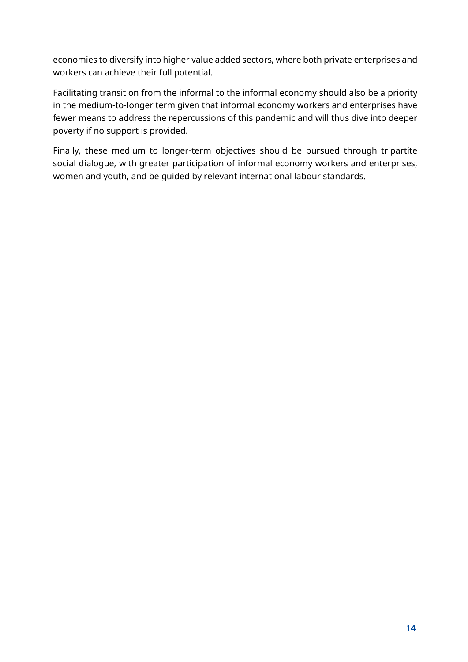economies to diversify into higher value added sectors, where both private enterprises and workers can achieve their full potential.

Facilitating transition from the informal to the informal economy should also be a priority in the medium-to-longer term given that informal economy workers and enterprises have fewer means to address the repercussions of this pandemic and will thus dive into deeper poverty if no support is provided.

Finally, these medium to longer-term objectives should be pursued through tripartite social dialogue, with greater participation of informal economy workers and enterprises, women and youth, and be guided by relevant international labour standards.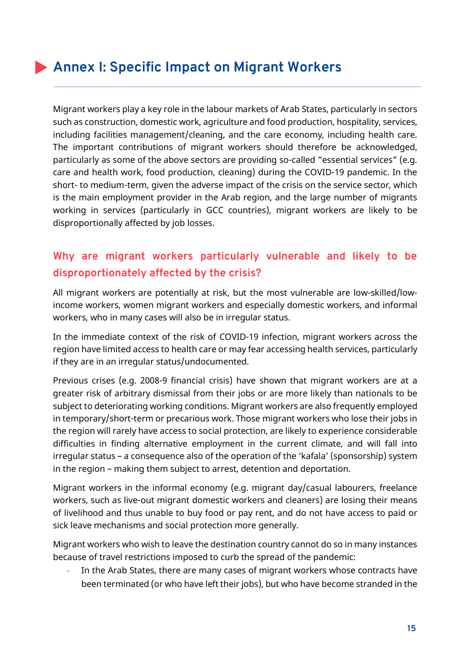# **Annex I: Specific Impact on Migrant Workers**

Migrant workers play a key role in the labour markets of Arab States, particularly in sectors such as construction, domestic work, agriculture and food production, hospitality, services, including facilities management/cleaning, and the care economy, including health care. The important contributions of migrant workers should therefore be acknowledged, particularly as some of the above sectors are providing so-called "essential services" (e.g. care and health work, food production, cleaning) during the COVID-19 pandemic. In the short- to medium-term, given the adverse impact of the crisis on the service sector, which is the main employment provider in the Arab region, and the large number of migrants working in services (particularly in GCC countries), migrant workers are likely to be disproportionally affected by job losses.

# **Why are migrant workers particularly vulnerable and likely to be disproportionately affected by the crisis?**

All migrant workers are potentially at risk, but the most vulnerable are low-skilled/lowincome workers, women migrant workers and especially domestic workers, and informal workers, who in many cases will also be in irregular status.

In the immediate context of the risk of COVID-19 infection, migrant workers across the region have limited access to health care or may fear accessing health services, particularly if they are in an irregular status/undocumented.

Previous crises (e.g. 2008-9 financial crisis) have shown that migrant workers are at a greater risk of arbitrary dismissal from their jobs or are more likely than nationals to be subject to deteriorating working conditions. Migrant workers are also frequently employed in temporary/short-term or precarious work. Those migrant workers who lose their jobs in the region will rarely have access to social protection, are likely to experience considerable difficulties in finding alternative employment in the current climate, and will fall into irregular status – a consequence also of the operation of the 'kafala' (sponsorship) system in the region – making them subject to arrest, detention and deportation.

Migrant workers in the informal economy (e.g. migrant day/casual labourers, freelance workers, such as live-out migrant domestic workers and cleaners) are losing their means of livelihood and thus unable to buy food or pay rent, and do not have access to paid or sick leave mechanisms and social protection more generally.

Migrant workers who wish to leave the destination country cannot do so in many instances because of travel restrictions imposed to curb the spread of the pandemic:

- In the Arab States, there are many cases of migrant workers whose contracts have been terminated (or who have left their jobs), but who have become stranded in the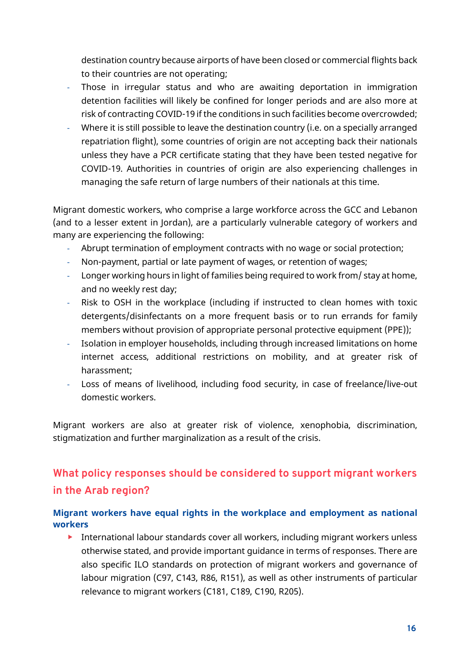destination country because airports of have been closed or commercial flights back to their countries are not operating;

- Those in irregular status and who are awaiting deportation in immigration detention facilities will likely be confined for longer periods and are also more at risk of contracting COVID-19 if the conditions in such facilities become overcrowded;
- Where it is still possible to leave the destination country (i.e. on a specially arranged repatriation flight), some countries of origin are not accepting back their nationals unless they have a PCR certificate stating that they have been tested negative for COVID-19. Authorities in countries of origin are also experiencing challenges in managing the safe return of large numbers of their nationals at this time.

Migrant domestic workers, who comprise a large workforce across the GCC and Lebanon (and to a lesser extent in Jordan), are a particularly vulnerable category of workers and many are experiencing the following:

- Abrupt termination of employment contracts with no wage or social protection;
- Non-payment, partial or late payment of wages, or retention of wages;
- Longer working hours in light of families being required to work from/ stay at home, and no weekly rest day;
- Risk to OSH in the workplace (including if instructed to clean homes with toxic detergents/disinfectants on a more frequent basis or to run errands for family members without provision of appropriate personal protective equipment (PPE));
- Isolation in employer households, including through increased limitations on home internet access, additional restrictions on mobility, and at greater risk of harassment;
- Loss of means of livelihood, including food security, in case of freelance/live-out domestic workers.

Migrant workers are also at greater risk of violence, xenophobia, discrimination, stigmatization and further marginalization as a result of the crisis.

# **What policy responses should be considered to support migrant workers in the Arab region?**

#### **Migrant workers have equal rights in the workplace and employment as national workers**

International labour standards cover all workers, including migrant workers unless otherwise stated, and provide important guidance in terms of responses. There are also specific ILO standards on protection of migrant workers and governance of labour migration (C97, C143, R86, R151), as well as other instruments of particular relevance to migrant workers (C181, C189, C190, R205).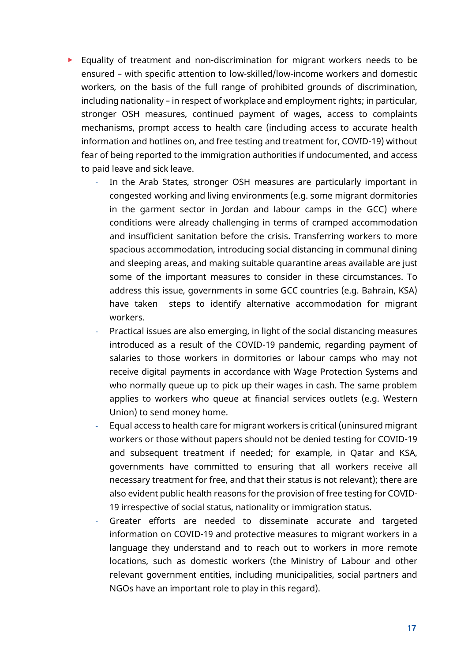- Equality of treatment and non-discrimination for migrant workers needs to be ensured – with specific attention to low-skilled/low-income workers and domestic workers, on the basis of the full range of prohibited grounds of discrimination, including nationality – in respect of workplace and employment rights; in particular, stronger OSH measures, continued payment of wages, access to complaints mechanisms, prompt access to health care (including access to accurate health information and hotlines on, and free testing and treatment for, COVID-19) without fear of being reported to the immigration authorities if undocumented, and access to paid leave and sick leave.
	- In the Arab States, stronger OSH measures are particularly important in congested working and living environments (e.g. some migrant dormitories in the garment sector in Jordan and labour camps in the GCC) where conditions were already challenging in terms of cramped accommodation and insufficient sanitation before the crisis. Transferring workers to more spacious accommodation, introducing social distancing in communal dining and sleeping areas, and making suitable quarantine areas available are just some of the important measures to consider in these circumstances. To address this issue, governments in some GCC countries (e.g. Bahrain, KSA) have taken steps to identify alternative accommodation for migrant workers.
	- Practical issues are also emerging, in light of the social distancing measures introduced as a result of the COVID-19 pandemic, regarding payment of salaries to those workers in dormitories or labour camps who may not receive digital payments in accordance with Wage Protection Systems and who normally queue up to pick up their wages in cash. The same problem applies to workers who queue at financial services outlets (e.g. Western Union) to send money home.
	- Equal access to health care for migrant workers is critical (uninsured migrant workers or those without papers should not be denied testing for COVID-19 and subsequent treatment if needed; for example, in Qatar and KSA, governments have committed to ensuring that all workers receive all necessary treatment for free, and that their status is not relevant); there are also evident public health reasons for the provision of free testing for COVID-19 irrespective of social status, nationality or immigration status.
	- Greater efforts are needed to disseminate accurate and targeted information on COVID-19 and protective measures to migrant workers in a language they understand and to reach out to workers in more remote locations, such as domestic workers (the Ministry of Labour and other relevant government entities, including municipalities, social partners and NGOs have an important role to play in this regard).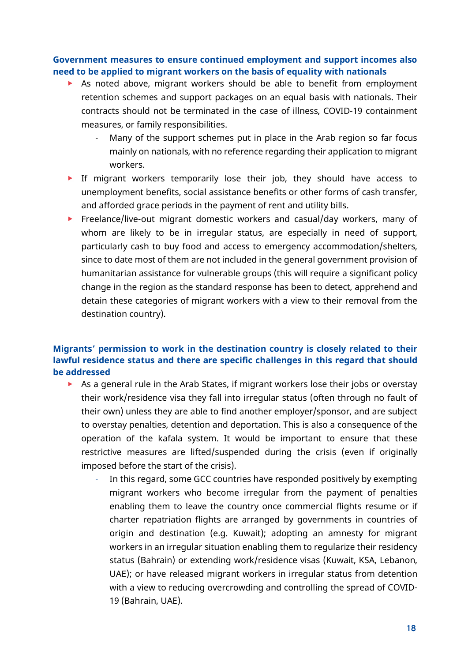#### **Government measures to ensure continued employment and support incomes also need to be applied to migrant workers on the basis of equality with nationals**

- As noted above, migrant workers should be able to benefit from employment retention schemes and support packages on an equal basis with nationals. Their contracts should not be terminated in the case of illness, COVID-19 containment measures, or family responsibilities.
	- Many of the support schemes put in place in the Arab region so far focus mainly on nationals, with no reference regarding their application to migrant workers.
- If migrant workers temporarily lose their job, they should have access to unemployment benefits, social assistance benefits or other forms of cash transfer, and afforded grace periods in the payment of rent and utility bills.
- **Freelance/live-out migrant domestic workers and casual/day workers, many of** whom are likely to be in irregular status, are especially in need of support, particularly cash to buy food and access to emergency accommodation/shelters, since to date most of them are not included in the general government provision of humanitarian assistance for vulnerable groups (this will require a significant policy change in the region as the standard response has been to detect, apprehend and detain these categories of migrant workers with a view to their removal from the destination country).

#### **Migrants' permission to work in the destination country is closely related to their lawful residence status and there are specific challenges in this regard that should be addressed**

- As a general rule in the Arab States, if migrant workers lose their jobs or overstay their work/residence visa they fall into irregular status (often through no fault of their own) unless they are able to find another employer/sponsor, and are subject to overstay penalties, detention and deportation. This is also a consequence of the operation of the kafala system. It would be important to ensure that these restrictive measures are lifted/suspended during the crisis (even if originally imposed before the start of the crisis).
	- In this regard, some GCC countries have responded positively by exempting migrant workers who become irregular from the payment of penalties enabling them to leave the country once commercial flights resume or if charter repatriation flights are arranged by governments in countries of origin and destination (e.g. Kuwait); adopting an amnesty for migrant workers in an irregular situation enabling them to regularize their residency status (Bahrain) or extending work/residence visas (Kuwait, KSA, Lebanon, UAE); or have released migrant workers in irregular status from detention with a view to reducing overcrowding and controlling the spread of COVID-19 (Bahrain, UAE).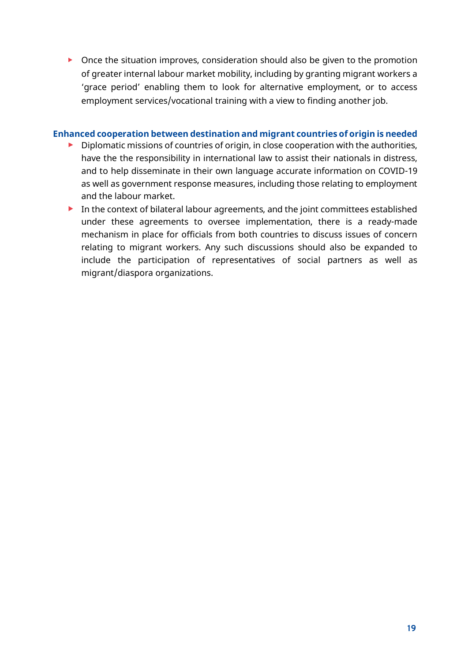▶ Once the situation improves, consideration should also be given to the promotion of greater internal labour market mobility, including by granting migrant workers a 'grace period' enabling them to look for alternative employment, or to access employment services/vocational training with a view to finding another job.

#### **Enhanced cooperation between destination and migrant countries of origin is needed**

- $\triangleright$  Diplomatic missions of countries of origin, in close cooperation with the authorities, have the the responsibility in international law to assist their nationals in distress, and to help disseminate in their own language accurate information on COVID-19 as well as government response measures, including those relating to employment and the labour market.
- In the context of bilateral labour agreements, and the joint committees established under these agreements to oversee implementation, there is a ready-made mechanism in place for officials from both countries to discuss issues of concern relating to migrant workers. Any such discussions should also be expanded to include the participation of representatives of social partners as well as migrant/diaspora organizations.